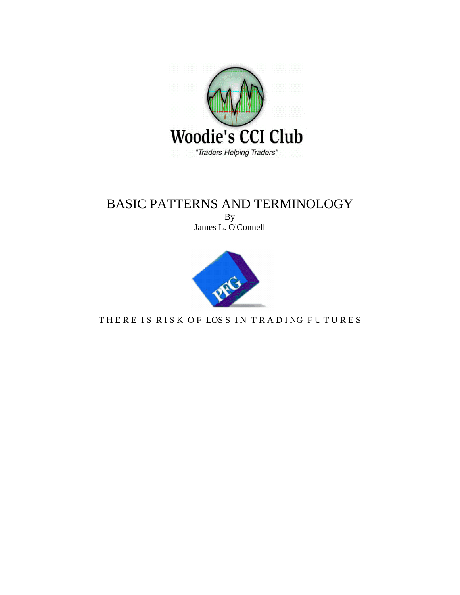

# BASIC PATTERNS AND TERMINOLOGY

By James L. O'Connell



THERE IS RISK OF LOSS IN TRADING FUTURES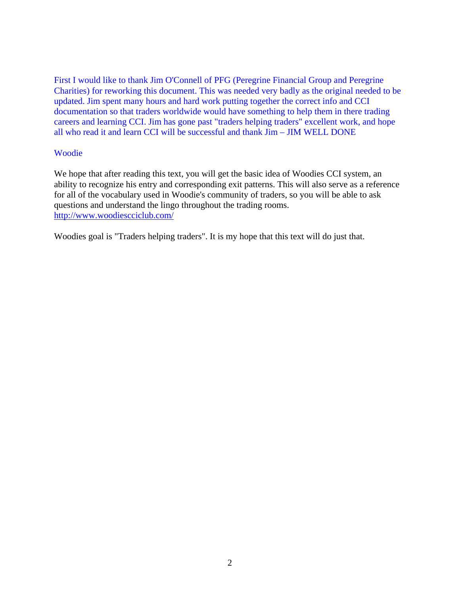First I would like to thank Jim O'Connell of PFG (Peregrine Financial Group and Peregrine Charities) for reworking this document. This was needed very badly as the original needed to be updated. Jim spent many hours and hard work putting together the correct info and CCI documentation so that traders worldwide would have something to help them in there trading careers and learning CCI. Jim has gone past "traders helping traders" excellent work, and hope all who read it and learn CCI will be successful and thank Jim – JIM WELL DONE

#### Woodie

We hope that after reading this text, you will get the basic idea of Woodies CCI system, an ability to recognize his entry and corresponding exit patterns. This will also serve as a reference for all of the vocabulary used in Woodie's community of traders, so you will be able to ask questions and understand the lingo throughout the trading rooms. <http://www.woodiescciclub.com/>

Woodies goal is "Traders helping traders". It is my hope that this text will do just that.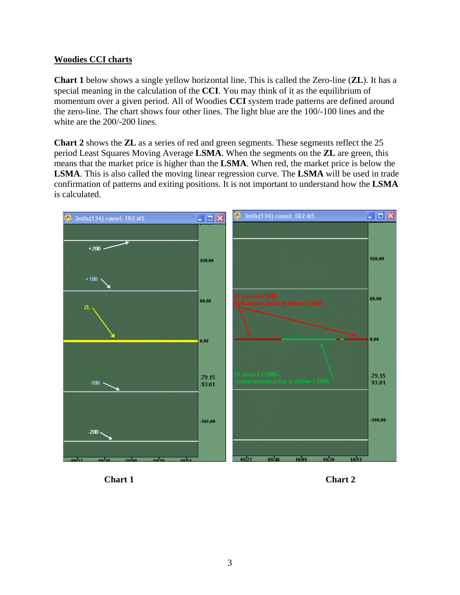#### **Woodies CCI charts**

**Chart 1** below shows a single yellow horizontal line. This is called the Zero-line (**ZL**). It has a special meaning in the calculation of the **CCI**. You may think of it as the equilibrium of momentum over a given period. All of Woodies **CCI** system trade patterns are defined around the zero-line. The chart shows four other lines. The light blue are the 100/-100 lines and the white are the 200/-200 lines.

**Chart 2** shows the **ZL** as a series of red and green segments. These segments reflect the 25 period Least Squares Moving Average **LSMA**. When the segments on the **ZL** are green, this means that the market price is higher than the **LSMA**. When red, the market price is below the **LSMA**. This is also called the moving linear regression curve. The **LSMA** will be used in trade confirmation of patterns and exiting positions. It is not important to understand how the **LSMA** is calculated.



**Chart 1** Chart 2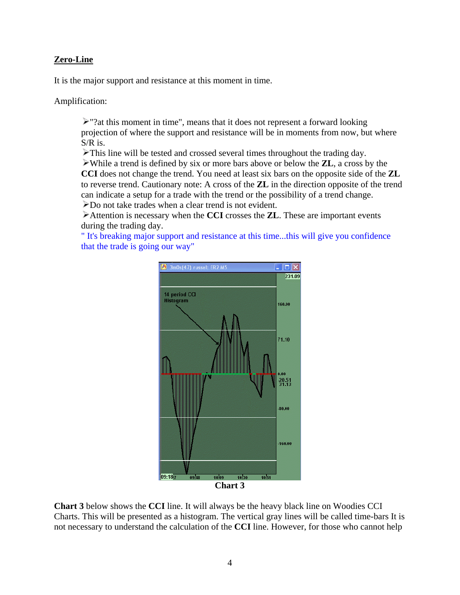### **Zero-Line**

It is the major support and resistance at this moment in time.

Amplification:

 $\ge$  "?at this moment in time", means that it does not represent a forward looking projection of where the support and resistance will be in moments from now, but where S/R is.

This line will be tested and crossed several times throughout the trading day.

While a trend is defined by six or more bars above or below the **ZL**, a cross by the **CCI** does not change the trend. You need at least six bars on the opposite side of the **ZL** to reverse trend. Cautionary note: A cross of the **ZL** in the direction opposite of the trend can indicate a setup for a trade with the trend or the possibility of a trend change.

Do not take trades when a clear trend is not evident.

Attention is necessary when the **CCI** crosses the **ZL**. These are important events during the trading day.

" It's breaking major support and resistance at this time...this will give you confidence that the trade is going our way"



**Chart 3** below shows the **CCI** line. It will always be the heavy black line on Woodies CCI Charts. This will be presented as a histogram. The vertical gray lines will be called time-bars It is not necessary to understand the calculation of the **CCI** line. However, for those who cannot help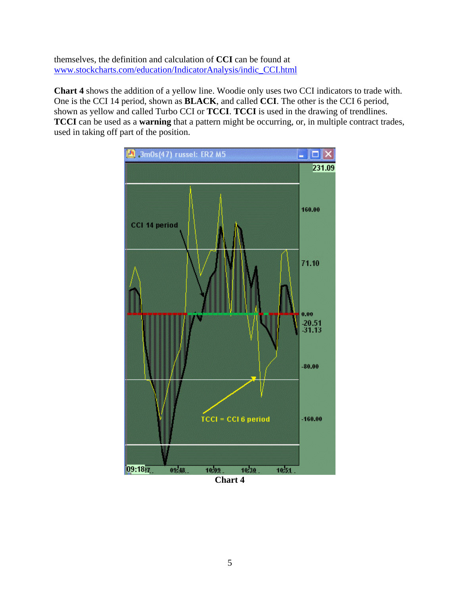themselves, the definition and calculation of **CCI** can be found at [www.stockcharts.com/education/IndicatorAnalysis/indic\\_CCI.html](http://www.stockcharts.com/education/IndicatorAnalysis/indic_CCI.html) 

**Chart 4** shows the addition of a yellow line. Woodie only uses two CCI indicators to trade with. One is the CCI 14 period, shown as **BLACK**, and called **CCI**. The other is the CCI 6 period, shown as yellow and called Turbo CCI or **TCCI**. **TCCI** is used in the drawing of trendlines. **TCCI** can be used as a **warning** that a pattern might be occurring, or, in multiple contract trades, used in taking off part of the position.



**Chart 4**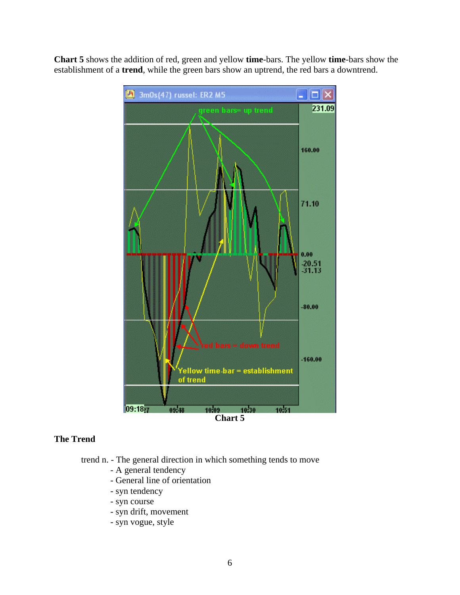**Chart 5** shows the addition of red, green and yellow **time**-bars. The yellow **time**-bars show the establishment of a **trend**, while the green bars show an uptrend, the red bars a downtrend.



## **The Trend**

- trend n. The general direction in which something tends to move
	- A general tendency
	- General line of orientation
	- syn tendency
	- syn course
	- syn drift, movement
	- syn vogue, style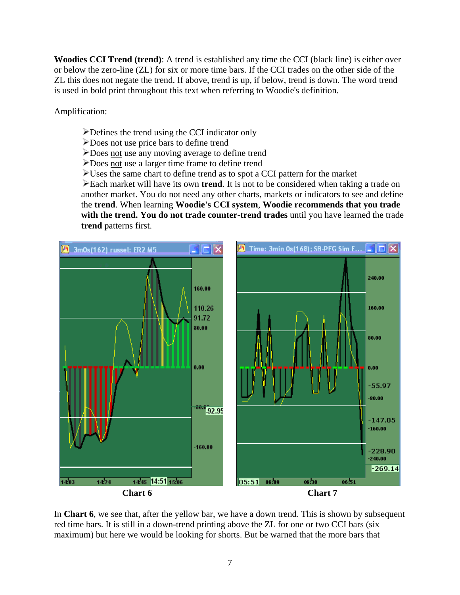**Woodies CCI Trend (trend)**: A trend is established any time the CCI (black line) is either over or below the zero-line (ZL) for six or more time bars. If the CCI trades on the other side of the ZL this does not negate the trend. If above, trend is up, if below, trend is down. The word trend is used in bold print throughout this text when referring to Woodie's definition.

Amplification:

- Defines the trend using the CCI indicator only
- Does not use price bars to define trend
- Does not use any moving average to define trend
- Does not use a larger time frame to define trend
- Uses the same chart to define trend as to spot a CCI pattern for the market

Each market will have its own **trend**. It is not to be considered when taking a trade on another market. You do not need any other charts, markets or indicators to see and define the **trend**. When learning **Woodie's CCI system**, **Woodie recommends that you trade with the trend. You do not trade counter-trend trades** until you have learned the trade **trend** patterns first.



In **Chart 6**, we see that, after the yellow bar, we have a down trend. This is shown by subsequent red time bars. It is still in a down-trend printing above the ZL for one or two CCI bars (six maximum) but here we would be looking for shorts. But be warned that the more bars that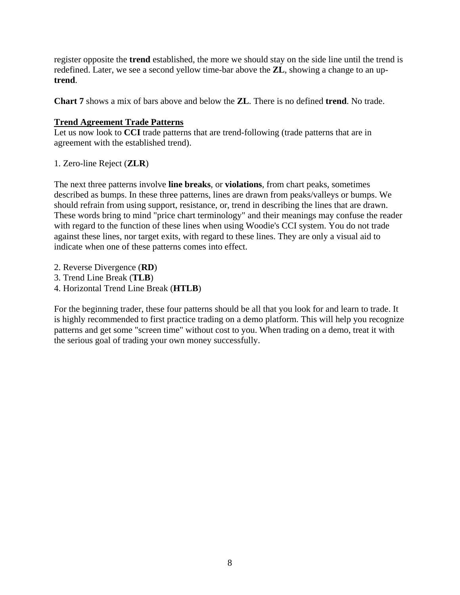register opposite the **trend** established, the more we should stay on the side line until the trend is redefined. Later, we see a second yellow time-bar above the **ZL**, showing a change to an up**trend**.

**Chart 7** shows a mix of bars above and below the **ZL**. There is no defined **trend**. No trade.

## **Trend Agreement Trade Patterns**

Let us now look to **CCI** trade patterns that are trend-following (trade patterns that are in agreement with the established trend).

# 1. Zero-line Reject (**ZLR**)

The next three patterns involve **line breaks**, or **violations**, from chart peaks, sometimes described as bumps. In these three patterns, lines are drawn from peaks/valleys or bumps. We should refrain from using support, resistance, or, trend in describing the lines that are drawn. These words bring to mind "price chart terminology" and their meanings may confuse the reader with regard to the function of these lines when using Woodie's CCI system. You do not trade against these lines, nor target exits, with regard to these lines. They are only a visual aid to indicate when one of these patterns comes into effect.

- 2. Reverse Divergence (**RD**)
- 3. Trend Line Break (**TLB**)
- 4. Horizontal Trend Line Break (**HTLB**)

For the beginning trader, these four patterns should be all that you look for and learn to trade. It is highly recommended to first practice trading on a demo platform. This will help you recognize patterns and get some "screen time" without cost to you. When trading on a demo, treat it with the serious goal of trading your own money successfully.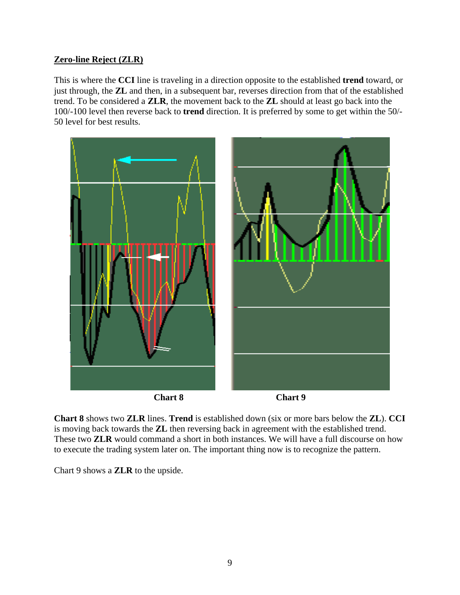# **Zero-line Reject (ZLR)**

This is where the **CCI** line is traveling in a direction opposite to the established **trend** toward, or just through, the **ZL** and then, in a subsequent bar, reverses direction from that of the established trend. To be considered a **ZLR**, the movement back to the **ZL** should at least go back into the 100/-100 level then reverse back to **trend** direction. It is preferred by some to get within the 50/- 50 level for best results.



**Chart 8** shows two **ZLR** lines. **Trend** is established down (six or more bars below the **ZL**). **CCI**  is moving back towards the **ZL** then reversing back in agreement with the established trend. These two **ZLR** would command a short in both instances. We will have a full discourse on how to execute the trading system later on. The important thing now is to recognize the pattern.

Chart 9 shows a **ZLR** to the upside.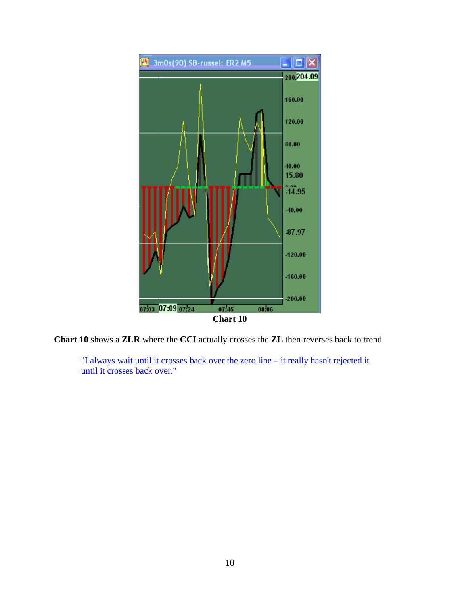

**Chart 10** shows a **ZLR** where the **CCI** actually crosses the **ZL** then reverses back to trend.

"I always wait until it crosses back over the zero line – it really hasn't rejected it until it crosses back over."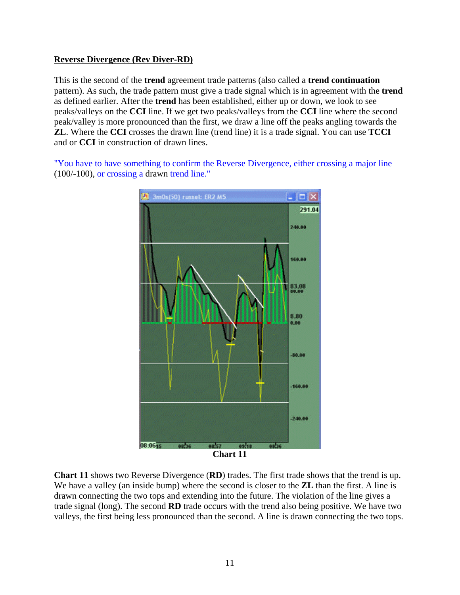## **Reverse Divergence (Rev Diver-RD)**

This is the second of the **trend** agreement trade patterns (also called a **trend continuation**  pattern). As such, the trade pattern must give a trade signal which is in agreement with the **trend** as defined earlier. After the **trend** has been established, either up or down, we look to see peaks/valleys on the **CCI** line. If we get two peaks/valleys from the **CCI** line where the second peak/valley is more pronounced than the first, we draw a line off the peaks angling towards the **ZL**. Where the **CCI** crosses the drawn line (trend line) it is a trade signal. You can use **TCCI**  and or **CCI** in construction of drawn lines.

"You have to have something to confirm the Reverse Divergence, either crossing a major line (100/-100), or crossing a drawn trend line."



**Chart 11** shows two Reverse Divergence (**RD**) trades. The first trade shows that the trend is up. We have a valley (an inside bump) where the second is closer to the **ZL** than the first. A line is drawn connecting the two tops and extending into the future. The violation of the line gives a trade signal (long). The second **RD** trade occurs with the trend also being positive. We have two valleys, the first being less pronounced than the second. A line is drawn connecting the two tops.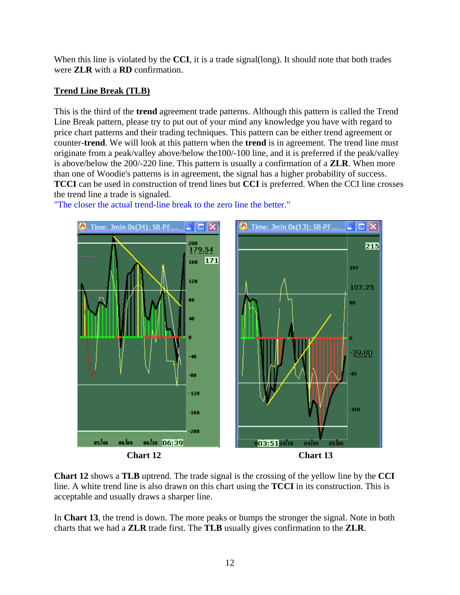When this line is violated by the **CCI**, it is a trade signal(long). It should note that both trades were **ZLR** with a **RD** confirmation.

# **Trend Line Break (TLB)**

This is the third of the **trend** agreement trade patterns. Although this pattern is called the Trend Line Break pattern, please try to put out of your mind any knowledge you have with regard to price chart patterns and their trading techniques. This pattern can be either trend agreement or counter-**trend**. We will look at this pattern when the **trend** is in agreement. The trend line must originate from a peak/valley above/below the100/-100 line, and it is preferred if the peak/valley is above/below the 200/-220 line. This pattern is usually a confirmation of a **ZLR**. When more than one of Woodie's patterns is in agreement, the signal has a higher probability of success. **TCCI** can be used in construction of trend lines but **CCI** is preferred. When the CCI line crosses the trend line a trade is signaled.



"The closer the actual trend-line break to the zero line the better."

**Chart 12** shows a **TLB** uptrend. The trade signal is the crossing of the yellow line by the **CCI**  line. A white trend line is also drawn on this chart using the **TCCI** in its construction. This is acceptable and usually draws a sharper line.

In **Chart 13**, the trend is down. The more peaks or bumps the stronger the signal. Note in both charts that we had a **ZLR** trade first. The **TLB** usually gives confirmation to the **ZLR**.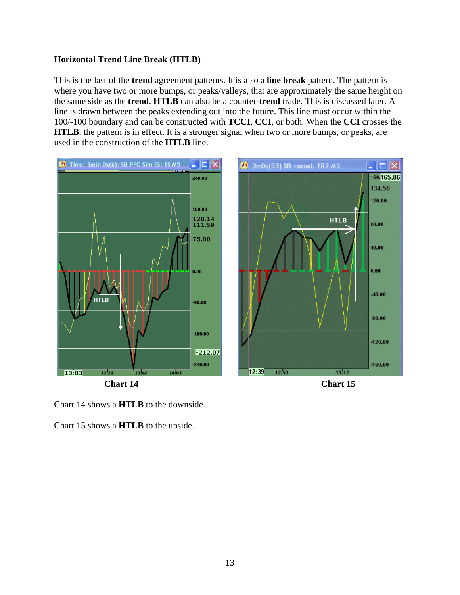# **Horizontal Trend Line Break (HTLB)**

This is the last of the **trend** agreement patterns. It is also a **line break** pattern. The pattern is where you have two or more bumps, or peaks/valleys, that are approximately the same height on the same side as the **trend**. **HTLB** can also be a counter-**trend** trade. This is discussed later. A line is drawn between the peaks extending out into the future. This line must occur within the 100/-100 boundary and can be constructed with **TCCI**, **CCI**, or both. When the **CCI** crosses the **HTLB**, the pattern is in effect. It is a stronger signal when two or more bumps, or peaks, are used in the construction of the **HTLB** line.



Chart 14 shows a **HTLB** to the downside.

Chart 15 shows a **HTLB** to the upside.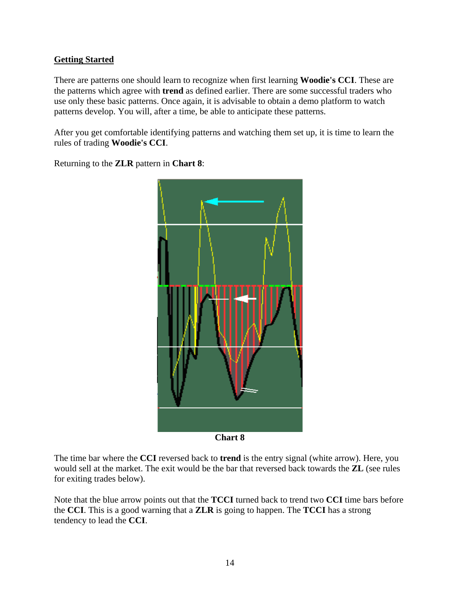# **Getting Started**

There are patterns one should learn to recognize when first learning **Woodie's CCI**. These are the patterns which agree with **trend** as defined earlier. There are some successful traders who use only these basic patterns. Once again, it is advisable to obtain a demo platform to watch patterns develop. You will, after a time, be able to anticipate these patterns.

After you get comfortable identifying patterns and watching them set up, it is time to learn the rules of trading **Woodie's CCI**.

Returning to the **ZLR** pattern in **Chart 8**:



**Chart 8**

The time bar where the **CCI** reversed back to **trend** is the entry signal (white arrow). Here, you would sell at the market. The exit would be the bar that reversed back towards the **ZL** (see rules for exiting trades below).

Note that the blue arrow points out that the **TCCI** turned back to trend two **CCI** time bars before the **CCI**. This is a good warning that a **ZLR** is going to happen. The **TCCI** has a strong tendency to lead the **CCI**.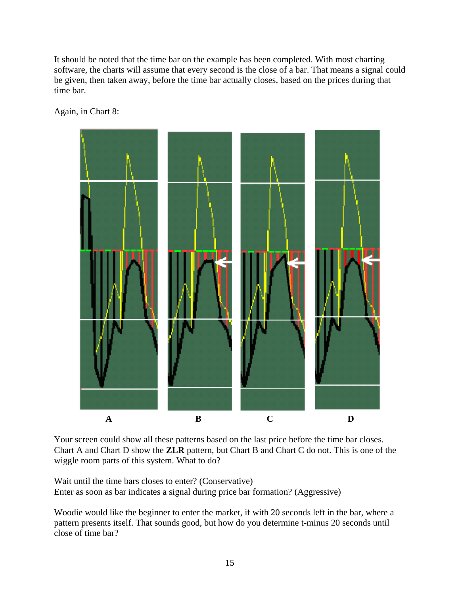It should be noted that the time bar on the example has been completed. With most charting software, the charts will assume that every second is the close of a bar. That means a signal could be given, then taken away, before the time bar actually closes, based on the prices during that time bar.

Again, in Chart 8:



Your screen could show all these patterns based on the last price before the time bar closes. Chart A and Chart D show the **ZLR** pattern, but Chart B and Chart C do not. This is one of the wiggle room parts of this system. What to do?

Wait until the time bars closes to enter? (Conservative) Enter as soon as bar indicates a signal during price bar formation? (Aggressive)

Woodie would like the beginner to enter the market, if with 20 seconds left in the bar, where a pattern presents itself. That sounds good, but how do you determine t-minus 20 seconds until close of time bar?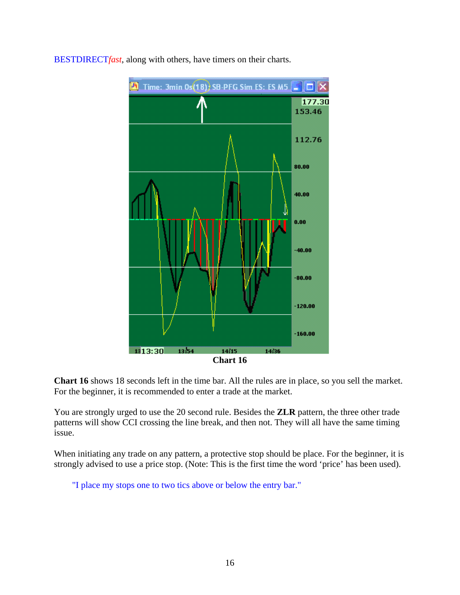![](_page_15_Figure_0.jpeg)

BESTDIRECT*fast*, along with others, have timers on their charts.

**Chart 16** shows 18 seconds left in the time bar. All the rules are in place, so you sell the market. For the beginner, it is recommended to enter a trade at the market.

You are strongly urged to use the 20 second rule. Besides the **ZLR** pattern, the three other trade patterns will show CCI crossing the line break, and then not. They will all have the same timing issue.

When initiating any trade on any pattern, a protective stop should be place. For the beginner, it is strongly advised to use a price stop. (Note: This is the first time the word 'price' has been used).

"I place my stops one to two tics above or below the entry bar."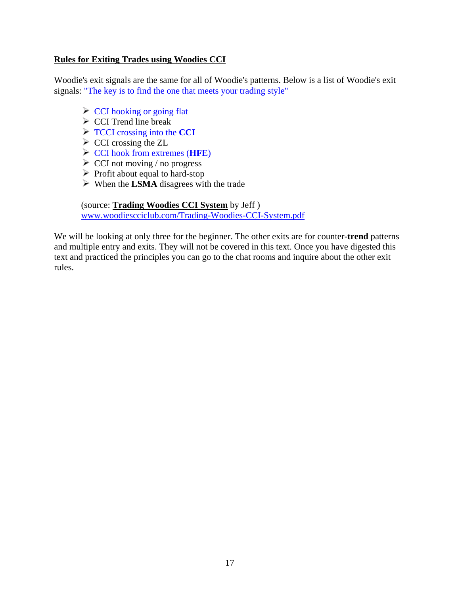## **Rules for Exiting Trades using Woodies CCI**

Woodie's exit signals are the same for all of Woodie's patterns. Below is a list of Woodie's exit signals: "The key is to find the one that meets your trading style"

- CCI hooking or going flat
- $\triangleright$  CCI Trend line break
- TCCI crossing into the **CCI**
- $\triangleright$  CCI crossing the ZL
- CCI hook from extremes (**HFE**)
- $\triangleright$  CCI not moving / no progress
- $\triangleright$  Profit about equal to hard-stop
- When the **LSMA** disagrees with the trade

(source: **Trading Woodies CCI System** by Jeff ) [www.woodiescciclub.com/Trading-Woodies-CCI-System.pdf](http://www.woodiescciclub.com/Trading-Woodies-CCI-System.pdf)

We will be looking at only three for the beginner. The other exits are for counter-**trend** patterns and multiple entry and exits. They will not be covered in this text. Once you have digested this text and practiced the principles you can go to the chat rooms and inquire about the other exit rules.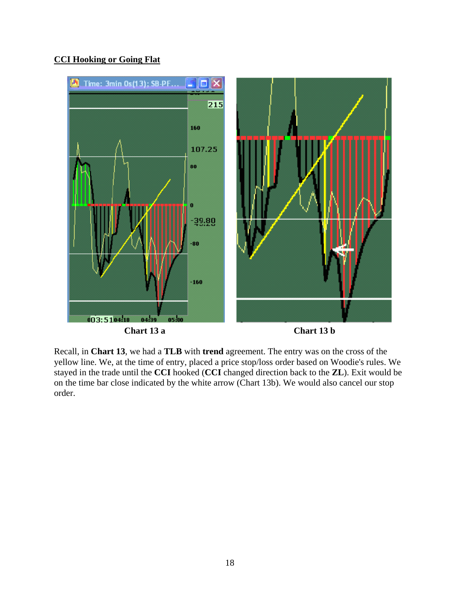# **CCI Hooking or Going Flat**

![](_page_17_Figure_1.jpeg)

Recall, in **Chart 13**, we had a **TLB** with **trend** agreement. The entry was on the cross of the yellow line. We, at the time of entry, placed a price stop/loss order based on Woodie's rules. We stayed in the trade until the **CCI** hooked (**CCI** changed direction back to the **ZL**). Exit would be on the time bar close indicated by the white arrow (Chart 13b). We would also cancel our stop order.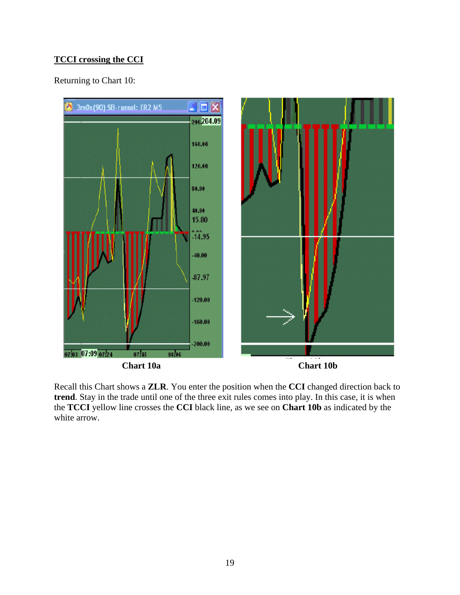# **TCCI crossing the CCI**

Returning to Chart 10:

![](_page_18_Figure_2.jpeg)

Recall this Chart shows a **ZLR**. You enter the position when the **CCI** changed direction back to **trend**. Stay in the trade until one of the three exit rules comes into play. In this case, it is when the **TCCI** yellow line crosses the **CCI** black line, as we see on **Chart 10b** as indicated by the white arrow.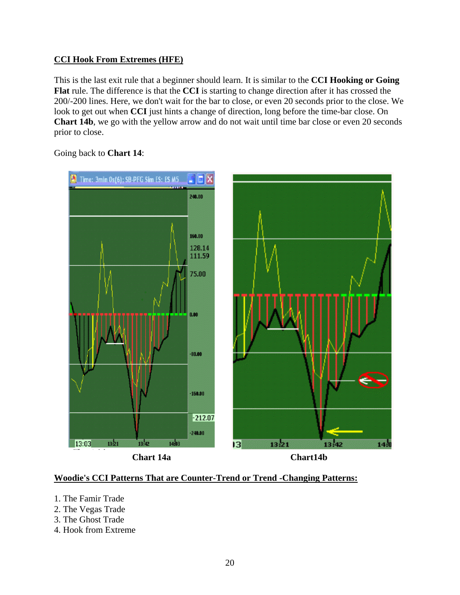# **CCI Hook From Extremes (HFE)**

This is the last exit rule that a beginner should learn. It is similar to the **CCI Hooking or Going Flat** rule. The difference is that the **CCI** is starting to change direction after it has crossed the 200/-200 lines. Here, we don't wait for the bar to close, or even 20 seconds prior to the close. We look to get out when **CCI** just hints a change of direction, long before the time-bar close. On **Chart 14b**, we go with the yellow arrow and do not wait until time bar close or even 20 seconds prior to close.

![](_page_19_Figure_2.jpeg)

Going back to **Chart 14**:

## **Woodie's CCI Patterns That are Counter-Trend or Trend -Changing Patterns:**

- 1. The Famir Trade
- 2. The Vegas Trade
- 3. The Ghost Trade
- 4. Hook from Extreme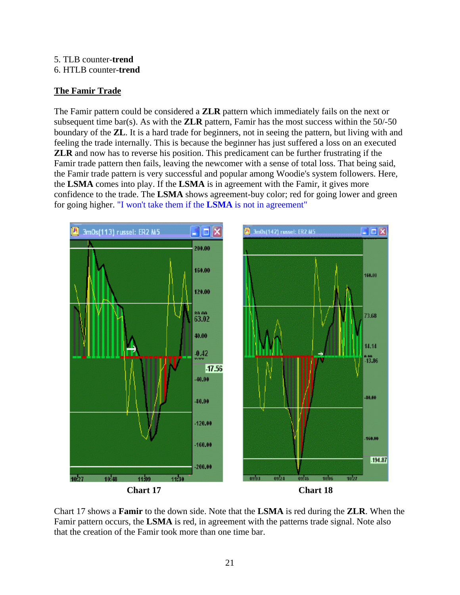#### 5. TLB counter-**trend** 6. HTLB counter-**trend**

# **The Famir Trade**

The Famir pattern could be considered a **ZLR** pattern which immediately fails on the next or subsequent time bar(s). As with the **ZLR** pattern, Famir has the most success within the  $50/-50$ boundary of the **ZL**. It is a hard trade for beginners, not in seeing the pattern, but living with and feeling the trade internally. This is because the beginner has just suffered a loss on an executed **ZLR** and now has to reverse his position. This predicament can be further frustrating if the Famir trade pattern then fails, leaving the newcomer with a sense of total loss. That being said, the Famir trade pattern is very successful and popular among Woodie's system followers. Here, the **LSMA** comes into play. If the **LSMA** is in agreement with the Famir, it gives more confidence to the trade. The **LSMA** shows agreement-buy color; red for going lower and green for going higher. "I won't take them if the **LSMA** is not in agreement"

![](_page_20_Figure_3.jpeg)

Chart 17 shows a **Famir** to the down side. Note that the **LSMA** is red during the **ZLR**. When the Famir pattern occurs, the **LSMA** is red, in agreement with the patterns trade signal. Note also that the creation of the Famir took more than one time bar.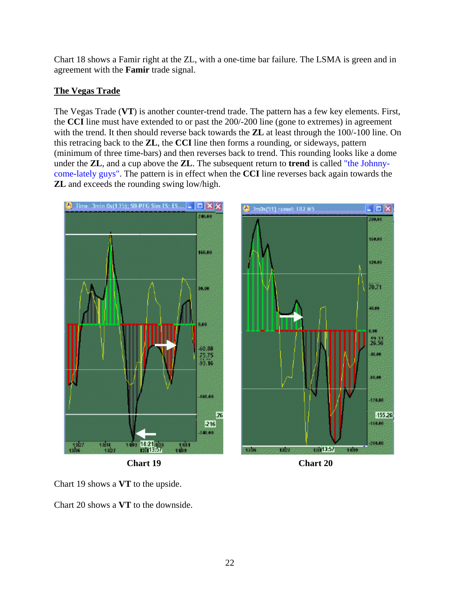Chart 18 shows a Famir right at the ZL, with a one-time bar failure. The LSMA is green and in agreement with the **Famir** trade signal.

# **The Vegas Trade**

The Vegas Trade (**VT**) is another counter-trend trade. The pattern has a few key elements. First, the **CCI** line must have extended to or past the 200/-200 line (gone to extremes) in agreement with the trend. It then should reverse back towards the **ZL** at least through the 100/-100 line. On this retracing back to the **ZL**, the **CCI** line then forms a rounding, or sideways, pattern (minimum of three time-bars) and then reverses back to trend. This rounding looks like a dome under the **ZL**, and a cup above the **ZL**. The subsequent return to **trend** is called "the Johnnycome-lately guys". The pattern is in effect when the **CCI** line reverses back again towards the **ZL** and exceeds the rounding swing low/high.

![](_page_21_Figure_3.jpeg)

Chart 19 shows a **VT** to the upside.

Chart 20 shows a **VT** to the downside.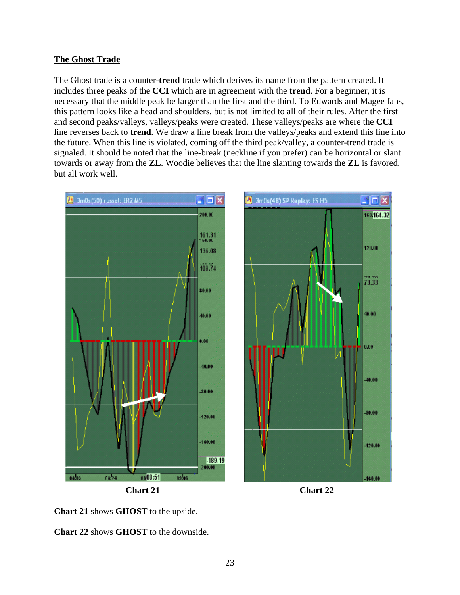## **The Ghost Trade**

The Ghost trade is a counter-**trend** trade which derives its name from the pattern created. It includes three peaks of the **CCI** which are in agreement with the **trend**. For a beginner, it is necessary that the middle peak be larger than the first and the third. To Edwards and Magee fans, this pattern looks like a head and shoulders, but is not limited to all of their rules. After the first and second peaks/valleys, valleys/peaks were created. These valleys/peaks are where the **CCI** line reverses back to **trend**. We draw a line break from the valleys/peaks and extend this line into the future. When this line is violated, coming off the third peak/valley, a counter-trend trade is signaled. It should be noted that the line-break (neckline if you prefer) can be horizontal or slant towards or away from the **ZL**. Woodie believes that the line slanting towards the **ZL** is favored, but all work well.

![](_page_22_Figure_2.jpeg)

![](_page_22_Figure_3.jpeg)

![](_page_22_Figure_4.jpeg)

**Chart 21** shows **GHOST** to the upside.

**Chart 22** shows **GHOST** to the downside.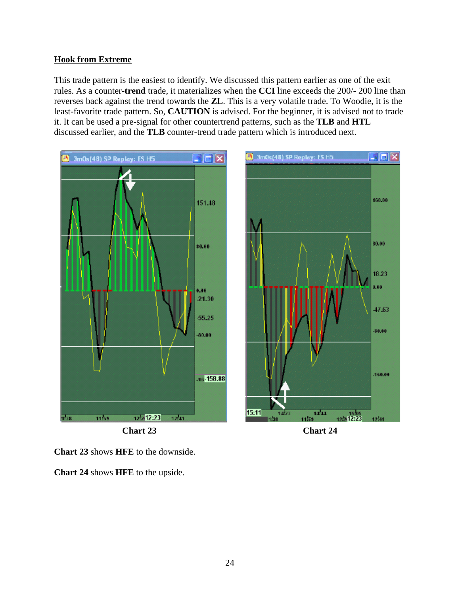# **Hook from Extreme**

This trade pattern is the easiest to identify. We discussed this pattern earlier as one of the exit rules. As a counter-**trend** trade, it materializes when the **CCI** line exceeds the 200/- 200 line than reverses back against the trend towards the **ZL**. This is a very volatile trade. To Woodie, it is the least-favorite trade pattern. So, **CAUTION** is advised. For the beginner, it is advised not to trade it. It can be used a pre-signal for other countertrend patterns, such as the **TLB** and **HTL** discussed earlier, and the **TLB** counter-trend trade pattern which is introduced next.

![](_page_23_Figure_2.jpeg)

**Chart 23** shows **HFE** to the downside.

**Chart 24** shows **HFE** to the upside.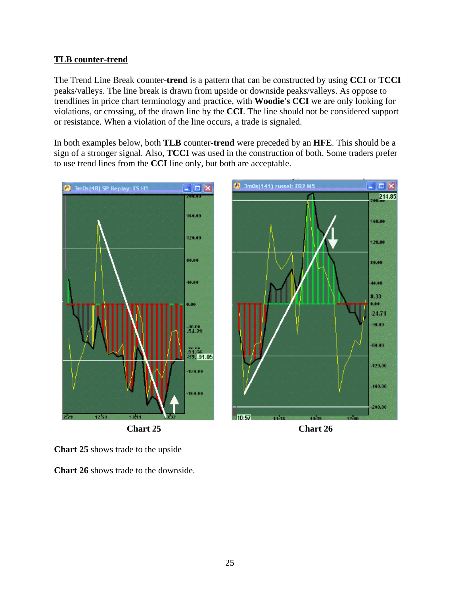# **TLB counter-trend**

The Trend Line Break counter-**trend** is a pattern that can be constructed by using **CCI** or **TCCI** peaks/valleys. The line break is drawn from upside or downside peaks/valleys. As oppose to trendlines in price chart terminology and practice, with **Woodie's CCI** we are only looking for violations, or crossing, of the drawn line by the **CCI**. The line should not be considered support or resistance. When a violation of the line occurs, a trade is signaled.

In both examples below, both **TLB** counter-**trend** were preceded by an **HFE**. This should be a sign of a stronger signal. Also, **TCCI** was used in the construction of both. Some traders prefer to use trend lines from the **CCI** line only, but both are acceptable.

![](_page_24_Figure_3.jpeg)

**Chart 25** shows trade to the upside

**Chart 26** shows trade to the downside.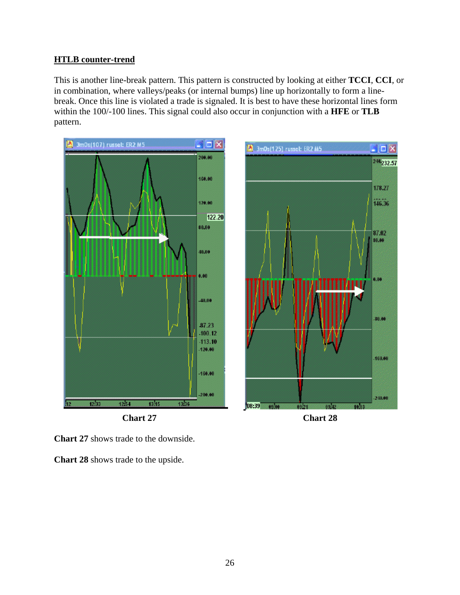## **HTLB counter-trend**

This is another line-break pattern. This pattern is constructed by looking at either **TCCI**, **CCI**, or in combination, where valleys/peaks (or internal bumps) line up horizontally to form a linebreak. Once this line is violated a trade is signaled. It is best to have these horizontal lines form within the 100/-100 lines. This signal could also occur in conjunction with a **HFE** or **TLB**  pattern.

![](_page_25_Figure_2.jpeg)

**Chart 27** shows trade to the downside.

**Chart 28** shows trade to the upside.